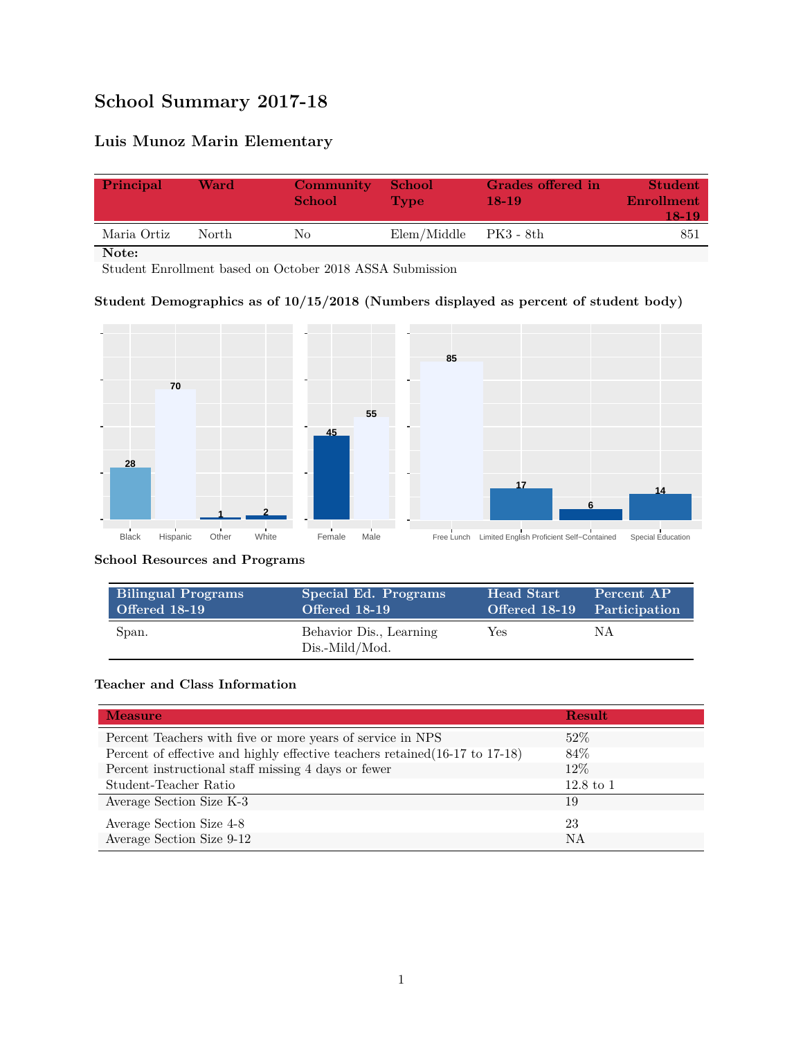# **School Summary 2017-18**

## **Luis Munoz Marin Elementary**

| Principal   | Ward  | Community<br><b>School</b> | <b>School</b><br><b>Type</b> | Grades offered in<br>18-19 | Student<br>Enrollment<br>18-19 |
|-------------|-------|----------------------------|------------------------------|----------------------------|--------------------------------|
| Maria Ortiz | North | Nο                         | Elem/Middle                  | PK3 - 8th                  | 851                            |

**Note:**

Student Enrollment based on October 2018 ASSA Submission

#### **Student Demographics as of 10/15/2018 (Numbers displayed as percent of student body)**



#### **School Resources and Programs**

| <b>Bilingual Programs</b> | Special Ed. Programs                      | Head Start                  | Percent AP |
|---------------------------|-------------------------------------------|-----------------------------|------------|
| Offered 18-19             | Offered 18-19                             | Offered 18-19 Participation |            |
| Span.                     | Behavior Dis., Learning<br>Dis.-Mild/Mod. | Yes                         | ΝA         |

#### **Teacher and Class Information**

| <b>Measure</b>                                                               | <b>Result</b>        |
|------------------------------------------------------------------------------|----------------------|
| Percent Teachers with five or more years of service in NPS                   | $52\%$               |
| Percent of effective and highly effective teachers retained (16-17 to 17-18) | 84\%                 |
| Percent instructional staff missing 4 days or fewer                          | $12\%$               |
| Student-Teacher Ratio                                                        | $12.8 \text{ to } 1$ |
| Average Section Size K-3                                                     | 19                   |
| Average Section Size 4-8                                                     | 23                   |
| Average Section Size 9-12                                                    | NA                   |